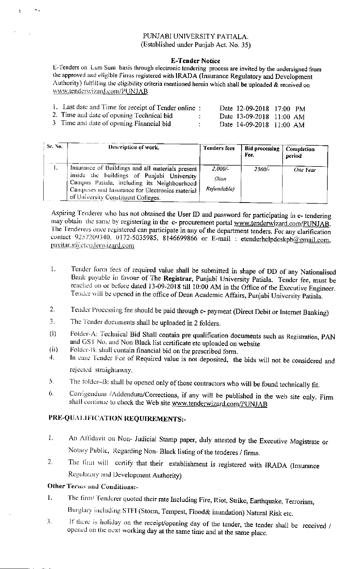## PUNJABI UNIVERSITY PATIALA. (Established under Punjab Act. No. 35)

## **E-Tender Notice**

E-Tenders on Lum Sum basis through electronic tendering process are invited by the undersigned from the approved and eligible Firms registered with IRADA (Insurance Regulatory and Development Authority) fultilling the eligibility criteria mentioned herein which shall be uploaded & received on www.tenderwizard.com/PUNJAB

| 1. Last date and Time for receipt of Tender online: |  | Date 12-09-2018 17:00 PM |  |
|-----------------------------------------------------|--|--------------------------|--|
| 2. Time and date of opening Technical bid           |  | Date 13-09-2018 11:00 AM |  |
| 3 Time and date of opening Financial bid            |  | Date 14-09-2018 11:00 AM |  |

| Sr. No. | Description of work.                                                                                                                                                                                                                    | <b>Tenders fees</b>              | <b>Bid processing</b><br>Fee. | Completion<br>period |
|---------|-----------------------------------------------------------------------------------------------------------------------------------------------------------------------------------------------------------------------------------------|----------------------------------|-------------------------------|----------------------|
| 1.      | Insurance of Buildings and all materials present<br>inside the buildings of Punjabi University<br>Campus Patiala, including its Neighbourhood<br>Campuses and Insurance for Electronics material<br>of University Constituent Colleges. | $2,000/-$<br>(Non<br>Refundable) | 2360/-                        | One Year             |

Aspiring Tenderer who has not obtained the User ID and password for participating in e- tendering may obtain the same by registering in the e- procurement portal www.tenderwizard.com/PUNJAB. The Tenderers once registered can participate in any of the department tenders. For any clarification contact 9257209340, 0172-5035985, 8146699866 or E-mail: etenderhelpdeskpb@gmail.com, pavitar.s@etenderwizard.com

- $\mathbf{1}$ . Tender form fees of required value shall be submitted in shape of DD of any Nationalised Bank payable in favour of The Registrar, Punjabi University Patiala. Tender fee, must be reached on or before dated 13-09-2018 till 10:00 AM in the Office of the Executive Engineer. Tender will be opened in the office of Dean Academic Affairs, Punjabi University Patiala.
- Tender Processing fee should be paid through e- payment (Direct Debit or Internet Banking)  $2.$
- The Tender documents shall be uploaded in 2 folders. 3.
- Folder-A: Technical Bid Shall contain pre qualification documents such as Registration, PAN  $(i)$ and GST No. and Non Black list certificate etc uploaded on website
- Folder-B: shall contain financial bid on the prescribed form.  $(ii)$
- In case Tender Fee of Required value is not deposited, the bids will not be considered and 4. rejected straightaway.
- The folder-B: shall be opened only of those contractors who will be found technically fit. 5.
- Corrigendum /Addendum/Corrections, if any will be published in the web site only. Firm 6. shall continue to check the Web site www.tenderwizard.com/PUNJAB

## PRE-QUALIFICATION REQUIREMENTS:-

- An Affidavit on Non- Judicial Stamp paper, duly attested by the Executive Magistrate or  $1.$ Notary Public, Regarding Non-Black listing of the tenderes / firms.
- The firm will certify that their establishment is registered with IRADA (Insurance  $\overline{2}$ . Regulatory and Development Authority)

## Other Terms and Conditions:-

- The firm/ Tenderer quoted their rate Including Fire, Riot, Strike, Earthquake, Terrorism,  $1.$ Burglary including STFI (Storm, Tempest, Flood& inundation) Natural Risk etc.
- If there is holiday on the receipt/opening day of the tender, the tender shall be received / 3. opened on the next working day at the same time and at the same place.